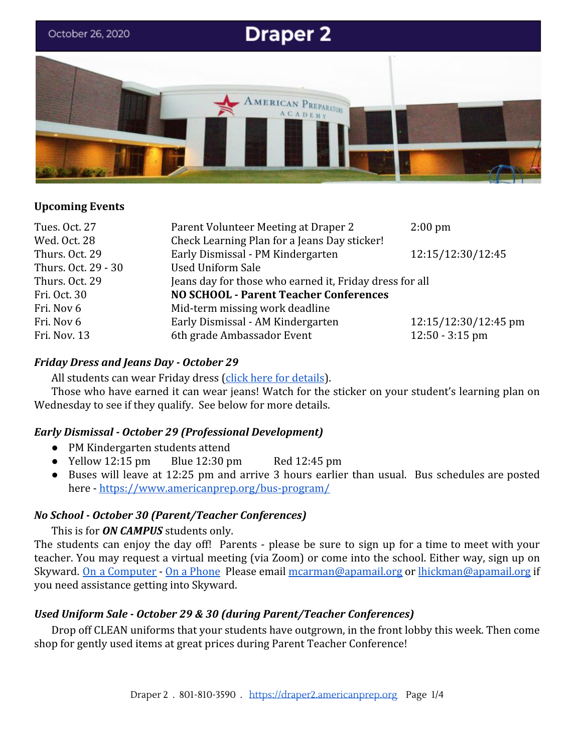

### **Upcoming Events**

| Parent Volunteer Meeting at Draper 2                    | $2:00 \text{ pm}$    |
|---------------------------------------------------------|----------------------|
| Check Learning Plan for a Jeans Day sticker!            |                      |
| Early Dismissal - PM Kindergarten                       | 12:15/12:30/12:45    |
| <b>Used Uniform Sale</b>                                |                      |
| Jeans day for those who earned it, Friday dress for all |                      |
| <b>NO SCHOOL - Parent Teacher Conferences</b>           |                      |
| Mid-term missing work deadline                          |                      |
| Early Dismissal - AM Kindergarten                       | 12:15/12:30/12:45 pm |
| 6th grade Ambassador Event                              | $12:50 - 3:15$ pm    |
|                                                         |                      |

#### *Friday Dress and Jeans Day - October 29*

All students can wear Friday dress ([click here for details](https://www.americanprep.org/wp-content/uploads/2019/06/Draper-1-Draper-2-West-Valley-1-.pdf)).

Those who have earned it can wear jeans! Watch for the sticker on your student's learning plan on Wednesday to see if they qualify. See below for more details.

#### *Early Dismissal - October 29 (Professional Development)*

- PM Kindergarten students attend
- Yellow  $12:15 \text{ pm}$  Blue  $12:30 \text{ pm}$  Red  $12:45 \text{ pm}$
- Buses will leave at 12:25 pm and arrive 3 hours earlier than usual. Bus schedules are posted here -<https://www.americanprep.org/bus-program/>

#### *No School - October 30 (Parent/Teacher Conferences)*

#### This is for *ON CAMPUS* students only.

The students can enjoy the day off! Parents - please be sure to sign up for a time to meet with your teacher. You may request a virtual meeting (via Zoom) or come into the school. Either way, sign up on Skyward. On a [Computer](https://draper2.americanprep.org/wp-content/uploads/sites/3/2020/10/Directions_PTCs-Desktop.pdf) - On a [Phone](https://draper2.americanprep.org/wp-content/uploads/sites/3/2020/10/Directions_PTCS-App.pdf) Please email [mcarman@apamail.org](mailto:mcarman@apamail.org) or [lhickman@apamail.org](mailto:lhickman@apamail.org) if you need assistance getting into Skyward.

### *Used Uniform Sale - October 29 & 30 (during Parent/Teacher Conferences)*

Drop off CLEAN uniforms that your students have outgrown, in the front lobby this week. Then come shop for gently used items at great prices during Parent Teacher Conference!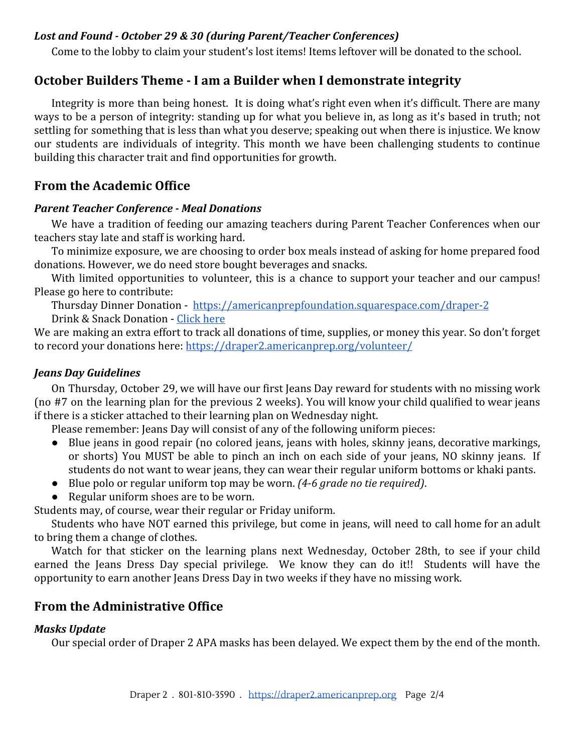#### *Lost and Found - October 29 & 30 (during Parent/Teacher Conferences)*

Come to the lobby to claim your student's lost items! Items leftover will be donated to the school.

# **October Builders Theme - I am a Builder when I demonstrate integrity**

Integrity is more than being honest. It is doing what's right even when it's difficult. There are many ways to be a person of integrity: standing up for what you believe in, as long as it's based in truth; not settling for something that is less than what you deserve; speaking out when there is injustice. We know our students are individuals of integrity. This month we have been challenging students to continue building this character trait and find opportunities for growth.

# **From the Academic Office**

#### *Parent Teacher Conference - Meal Donations*

We have a tradition of feeding our amazing teachers during Parent Teacher Conferences when our teachers stay late and staff is working hard.

To minimize exposure, we are choosing to order box meals instead of asking for home prepared food donations. However, we do need store bought beverages and snacks.

With limited opportunities to volunteer, this is a chance to support your teacher and our campus! Please go here to contribute:

Thursday Dinner Donation - <https://americanprepfoundation.squarespace.com/draper-2> Drink & Snack Donation - [Click here](https://docs.google.com/spreadsheets/d/1XdQwNpY3mdFwRltgUG599ezsahvVJfHvRK9deoR3DSg/edit?usp=sharing)

We are making an extra effort to track all donations of time, supplies, or money this year. So don't forget to record your donations here: <https://draper2.americanprep.org/volunteer/>

#### *Jeans Day Guidelines*

On Thursday, October 29, we will have our first Jeans Day reward for students with no missing work (no #7 on the learning plan for the previous 2 weeks). You will know your child qualified to wear jeans if there is a sticker attached to their learning plan on Wednesday night.

Please remember: Jeans Day will consist of any of the following uniform pieces:

- Blue jeans in good repair (no colored jeans, jeans with holes, skinny jeans, decorative markings, or shorts) You MUST be able to pinch an inch on each side of your jeans, NO skinny jeans. If students do not want to wear jeans, they can wear their regular uniform bottoms or khaki pants.
- Blue polo or regular uniform top may be worn. *(4-6 grade no tie required)*.
- Regular uniform shoes are to be worn.

Students may, of course, wear their regular or Friday uniform.

Students who have NOT earned this privilege, but come in jeans, will need to call home for an adult to bring them a change of clothes.

Watch for that sticker on the learning plans next Wednesday, October 28th, to see if your child earned the Jeans Dress Day special privilege. We know they can do it!! Students will have the opportunity to earn another Jeans Dress Day in two weeks if they have no missing work.

# **From the Administrative Office**

#### *Masks Update*

Our special order of Draper 2 APA masks has been delayed. We expect them by the end of the month.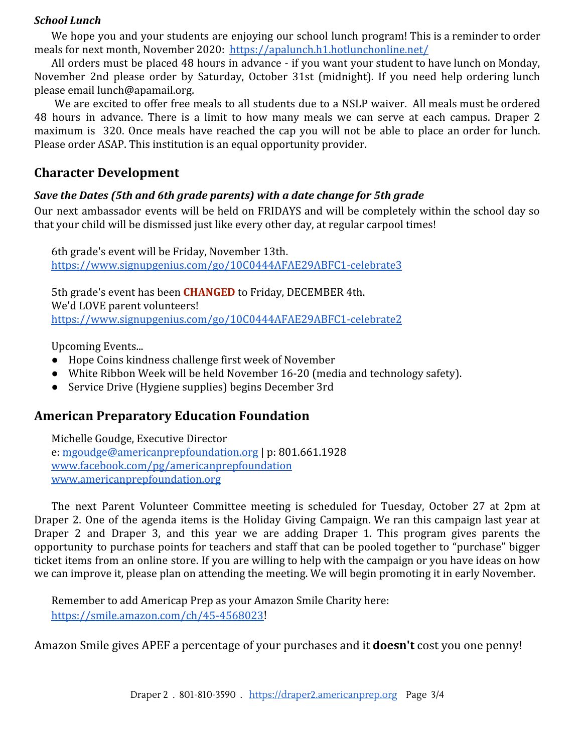#### *School Lunch*

We hope you and your students are enjoying our school lunch program! This is a reminder to order meals for next month, November 2020: <https://apalunch.h1.hotlunchonline.net/>

All orders must be placed 48 hours in advance - if you want your student to have lunch on Monday, November 2nd please order by Saturday, October 31st (midnight). If you need help ordering lunch please email lunch@apamail.org.

We are excited to offer free meals to all students due to a NSLP waiver. All meals must be ordered 48 hours in advance. There is a limit to how many meals we can serve at each campus. Draper 2 maximum is 320. Once meals have reached the cap you will not be able to place an order for lunch. Please order ASAP. This institution is an equal opportunity provider.

# **Character Development**

### *Save the Dates (5th and 6th grade parents) with a date change for 5th grade*

Our next ambassador events will be held on FRIDAYS and will be completely within the school day so that your child will be dismissed just like every other day, at regular carpool times!

6th grade's event will be Friday, November 13th. <https://www.signupgenius.com/go/10C0444AFAE29ABFC1-celebrate3>

5th grade's event has been **CHANGED** to Friday, DECEMBER 4th. We'd LOVE parent volunteers! <https://www.signupgenius.com/go/10C0444AFAE29ABFC1-celebrate2>

Upcoming Events...

- Hope Coins kindness challenge first week of November
- White Ribbon Week will be held November 16-20 (media and technology safety).
- Service Drive (Hygiene supplies) begins December 3rd

# **American Preparatory Education Foundation**

Michelle Goudge, Executive Director e: [mgoudge@americanprepfoundation.org](mailto:mgoudge@americanprepfoundation.org) | p: 801.661.1928 [www.facebook.com/pg/americanprepfoundation](http://www.facebook.com/pg/americanprepfoundation) [www.americanprepfoundation.org](http://www.americanprepfoundation.org/)

The next Parent Volunteer Committee meeting is scheduled for Tuesday, October 27 at 2pm at Draper 2. One of the agenda items is the Holiday Giving Campaign. We ran this campaign last year at Draper 2 and Draper 3, and this year we are adding Draper 1. This program gives parents the opportunity to purchase points for teachers and staff that can be pooled together to "purchase" bigger ticket items from an online store. If you are willing to help with the campaign or you have ideas on how we can improve it, please plan on attending the meeting. We will begin promoting it in early November.

Remember to add Americap Prep as your Amazon Smile Charity here: <https://smile.amazon.com/ch/45-4568023>!

Amazon Smile gives APEF a percentage of your purchases and it **doesn't** cost you one penny!